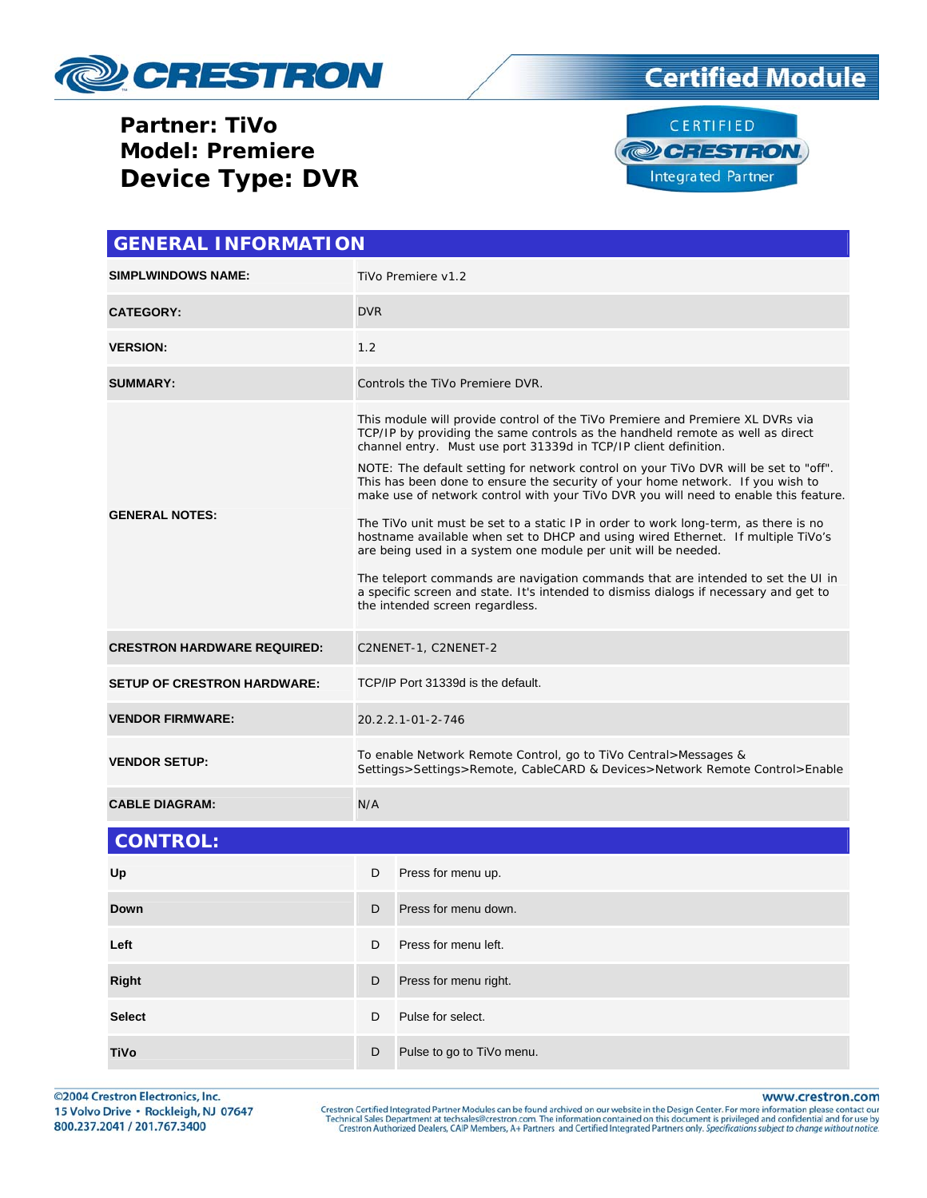





| <b>GENERAL INFORMATION</b>         |                                                                                                                                                                                                                                                                                                                                                                                                                                                                                                                                                                                                                                                                                                                                                                                                                                                                                                                                                                     |                           |  |  |
|------------------------------------|---------------------------------------------------------------------------------------------------------------------------------------------------------------------------------------------------------------------------------------------------------------------------------------------------------------------------------------------------------------------------------------------------------------------------------------------------------------------------------------------------------------------------------------------------------------------------------------------------------------------------------------------------------------------------------------------------------------------------------------------------------------------------------------------------------------------------------------------------------------------------------------------------------------------------------------------------------------------|---------------------------|--|--|
| <b>SIMPLWINDOWS NAME:</b>          | TiVo Premiere v1.2                                                                                                                                                                                                                                                                                                                                                                                                                                                                                                                                                                                                                                                                                                                                                                                                                                                                                                                                                  |                           |  |  |
| <b>CATEGORY:</b>                   | <b>DVR</b>                                                                                                                                                                                                                                                                                                                                                                                                                                                                                                                                                                                                                                                                                                                                                                                                                                                                                                                                                          |                           |  |  |
| <b>VERSION:</b>                    | 1.2                                                                                                                                                                                                                                                                                                                                                                                                                                                                                                                                                                                                                                                                                                                                                                                                                                                                                                                                                                 |                           |  |  |
| <b>SUMMARY:</b>                    | Controls the TiVo Premiere DVR.                                                                                                                                                                                                                                                                                                                                                                                                                                                                                                                                                                                                                                                                                                                                                                                                                                                                                                                                     |                           |  |  |
| <b>GENERAL NOTES:</b>              | This module will provide control of the TiVo Premiere and Premiere XL DVRs via<br>TCP/IP by providing the same controls as the handheld remote as well as direct<br>channel entry. Must use port 31339d in TCP/IP client definition.<br>NOTE: The default setting for network control on your TiVo DVR will be set to "off".<br>This has been done to ensure the security of your home network. If you wish to<br>make use of network control with your TiVo DVR you will need to enable this feature.<br>The TiVo unit must be set to a static IP in order to work long-term, as there is no<br>hostname available when set to DHCP and using wired Ethernet. If multiple TiVo's<br>are being used in a system one module per unit will be needed.<br>The teleport commands are navigation commands that are intended to set the UI in<br>a specific screen and state. It's intended to dismiss dialogs if necessary and get to<br>the intended screen regardless. |                           |  |  |
| <b>CRESTRON HARDWARE REQUIRED:</b> | C2NENET-1, C2NENET-2                                                                                                                                                                                                                                                                                                                                                                                                                                                                                                                                                                                                                                                                                                                                                                                                                                                                                                                                                |                           |  |  |
| <b>SETUP OF CRESTRON HARDWARE:</b> | TCP/IP Port 31339d is the default.                                                                                                                                                                                                                                                                                                                                                                                                                                                                                                                                                                                                                                                                                                                                                                                                                                                                                                                                  |                           |  |  |
| <b>VENDOR FIRMWARE:</b>            | 20.2.2.1-01-2-746                                                                                                                                                                                                                                                                                                                                                                                                                                                                                                                                                                                                                                                                                                                                                                                                                                                                                                                                                   |                           |  |  |
| <b>VENDOR SETUP:</b>               | To enable Network Remote Control, go to TiVo Central>Messages &<br>Settings>Settings>Remote, CableCARD & Devices>Network Remote Control>Enable                                                                                                                                                                                                                                                                                                                                                                                                                                                                                                                                                                                                                                                                                                                                                                                                                      |                           |  |  |
| <b>CABLE DIAGRAM:</b>              | N/A                                                                                                                                                                                                                                                                                                                                                                                                                                                                                                                                                                                                                                                                                                                                                                                                                                                                                                                                                                 |                           |  |  |
| <b>CONTROL:</b>                    |                                                                                                                                                                                                                                                                                                                                                                                                                                                                                                                                                                                                                                                                                                                                                                                                                                                                                                                                                                     |                           |  |  |
| Up                                 | D                                                                                                                                                                                                                                                                                                                                                                                                                                                                                                                                                                                                                                                                                                                                                                                                                                                                                                                                                                   | Press for menu up.        |  |  |
| Down                               | D                                                                                                                                                                                                                                                                                                                                                                                                                                                                                                                                                                                                                                                                                                                                                                                                                                                                                                                                                                   | Press for menu down.      |  |  |
| Left                               | D                                                                                                                                                                                                                                                                                                                                                                                                                                                                                                                                                                                                                                                                                                                                                                                                                                                                                                                                                                   | Press for menu left.      |  |  |
| <b>Right</b>                       | D                                                                                                                                                                                                                                                                                                                                                                                                                                                                                                                                                                                                                                                                                                                                                                                                                                                                                                                                                                   | Press for menu right.     |  |  |
| <b>Select</b>                      | D                                                                                                                                                                                                                                                                                                                                                                                                                                                                                                                                                                                                                                                                                                                                                                                                                                                                                                                                                                   | Pulse for select.         |  |  |
| TiVo                               | D                                                                                                                                                                                                                                                                                                                                                                                                                                                                                                                                                                                                                                                                                                                                                                                                                                                                                                                                                                   | Pulse to go to TiVo menu. |  |  |

©2004 Crestron Electronics, Inc. 15 Volvo Drive · Rockleigh, NJ 07647 800.237.2041 / 201.767.3400

www.crestron.com

Crestron Certified Integrated Partner Modules can be found archived on our website in the Design Center. For more information please contact our Technical Sales Department at techsales@crestron.com. The information contain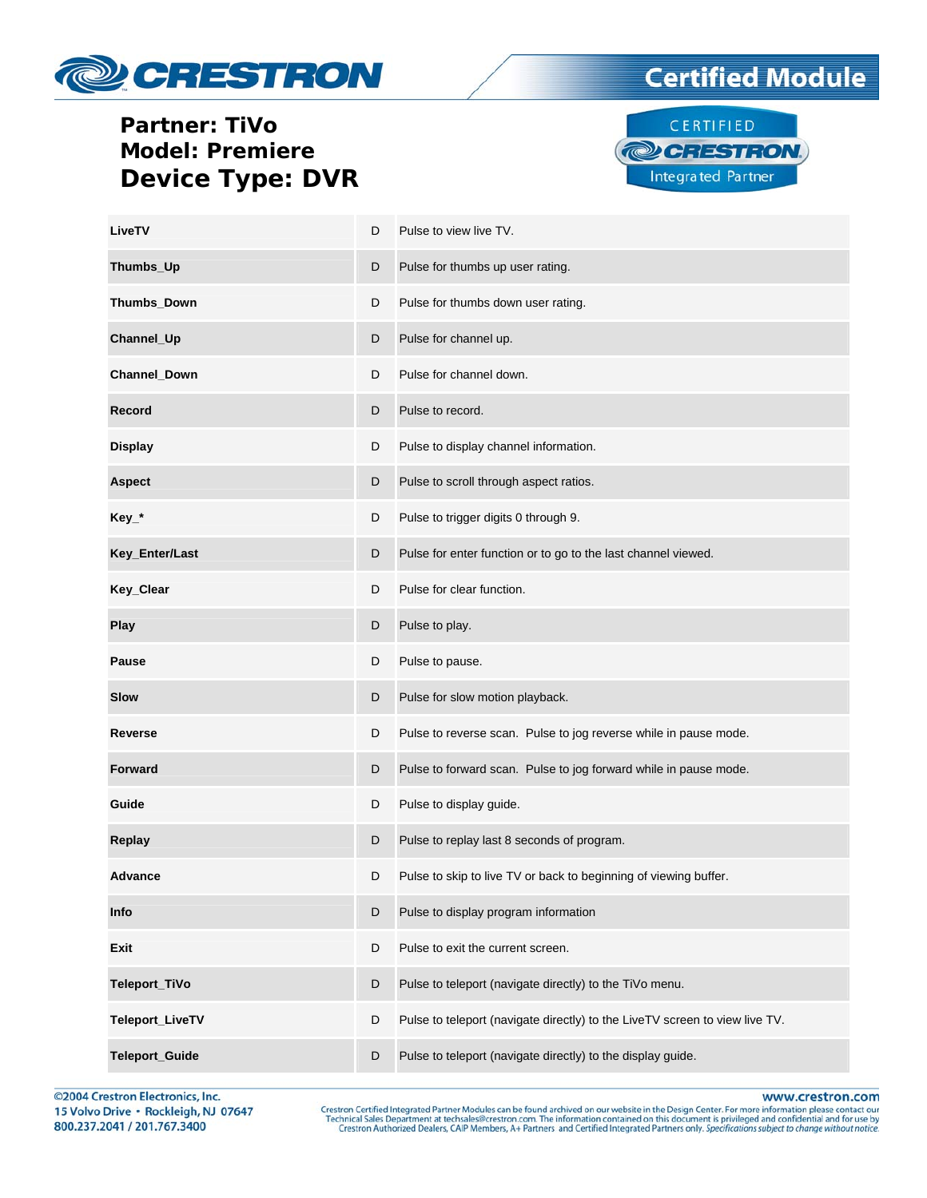





| LiveTV              | D | Pulse to view live TV.                                                      |
|---------------------|---|-----------------------------------------------------------------------------|
| Thumbs_Up           | D | Pulse for thumbs up user rating.                                            |
| Thumbs_Down         | D | Pulse for thumbs down user rating.                                          |
| Channel_Up          | D | Pulse for channel up.                                                       |
| <b>Channel Down</b> | D | Pulse for channel down.                                                     |
| <b>Record</b>       | D | Pulse to record.                                                            |
| <b>Display</b>      | D | Pulse to display channel information.                                       |
| <b>Aspect</b>       | D | Pulse to scroll through aspect ratios.                                      |
| Key_*               | D | Pulse to trigger digits 0 through 9.                                        |
| Key_Enter/Last      | D | Pulse for enter function or to go to the last channel viewed.               |
| Key_Clear           | D | Pulse for clear function.                                                   |
| <b>Play</b>         | D | Pulse to play.                                                              |
| <b>Pause</b>        | D | Pulse to pause.                                                             |
| <b>Slow</b>         | D | Pulse for slow motion playback.                                             |
| <b>Reverse</b>      | D | Pulse to reverse scan. Pulse to jog reverse while in pause mode.            |
| <b>Forward</b>      | D | Pulse to forward scan. Pulse to jog forward while in pause mode.            |
| Guide               | D | Pulse to display guide.                                                     |
| <b>Replay</b>       | D | Pulse to replay last 8 seconds of program.                                  |
| <b>Advance</b>      | D | Pulse to skip to live TV or back to beginning of viewing buffer.            |
| Info                | D | Pulse to display program information                                        |
| Exit                | D | Pulse to exit the current screen.                                           |
| Teleport_TiVo       | D | Pulse to teleport (navigate directly) to the TiVo menu.                     |
| Teleport_LiveTV     | D | Pulse to teleport (navigate directly) to the LiveTV screen to view live TV. |
| Teleport_Guide      | D | Pulse to teleport (navigate directly) to the display guide.                 |

©2004 Crestron Electronics, Inc. 15 Volvo Drive · Rockleigh, NJ 07647 800.237.2041 / 201.767.3400

www.crestron.com

Crestron Certified Integrated Partner Modules can be found archived on our website in the Design Center. For more information please contact our Technical Sales Department at techsales@crestron.com. The information contain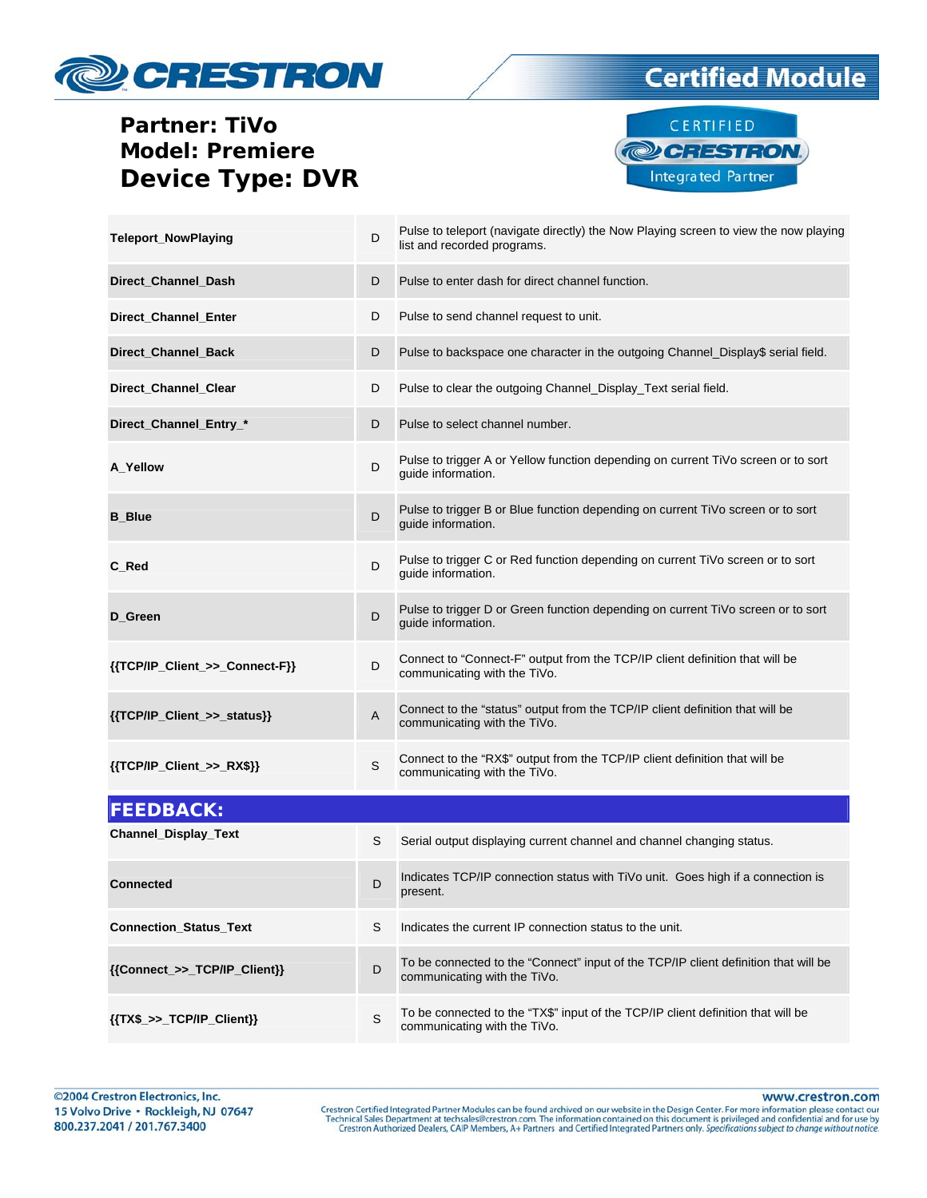





| <b>Teleport_NowPlaying</b>     | D            | Pulse to teleport (navigate directly) the Now Playing screen to view the now playing<br>list and recorded programs. |
|--------------------------------|--------------|---------------------------------------------------------------------------------------------------------------------|
| Direct Channel Dash            | D            | Pulse to enter dash for direct channel function.                                                                    |
| Direct_Channel_Enter           | D            | Pulse to send channel request to unit.                                                                              |
| Direct_Channel_Back            | D            | Pulse to backspace one character in the outgoing Channel_Display\$ serial field.                                    |
| Direct_Channel_Clear           | D            | Pulse to clear the outgoing Channel_Display_Text serial field.                                                      |
| Direct_Channel_Entry_*         | D            | Pulse to select channel number.                                                                                     |
| A_Yellow                       | D            | Pulse to trigger A or Yellow function depending on current TiVo screen or to sort<br>guide information.             |
| <b>B_Blue</b>                  | D            | Pulse to trigger B or Blue function depending on current TiVo screen or to sort<br>guide information.               |
| C_Red                          | D            | Pulse to trigger C or Red function depending on current TiVo screen or to sort<br>guide information.                |
| D Green                        | D            | Pulse to trigger D or Green function depending on current TiVo screen or to sort<br>guide information.              |
| {{TCP/IP_Client_>>_Connect-F}} | D            | Connect to "Connect-F" output from the TCP/IP client definition that will be<br>communicating with the TiVo.        |
| {{TCP/IP_Client_>>_status}}    | A            | Connect to the "status" output from the TCP/IP client definition that will be<br>communicating with the TiVo.       |
| {{TCP/IP_Client_>>_RX\$}}      | $\mathsf{S}$ | Connect to the "RX\$" output from the TCP/IP client definition that will be<br>communicating with the TiVo.         |
| <b>FEEDBACK:</b>               |              |                                                                                                                     |
| Channel_Display_Text           | S            | Serial output displaying current channel and channel changing status.                                               |
| <b>Connected</b>               | D            | Indicates TCP/IP connection status with TiVo unit. Goes high if a connection is<br>present.                         |
| <b>Connection Status Text</b>  | S            | Indicates the current IP connection status to the unit.                                                             |

**{{Connect\_>>\_TCP/IP\_Client}}** D To be connected to the "Connect" input of the TCP/IP client definition that will be communicating with the TiVo.

#### **{{TX\$\_>>\_TCP/IP\_Client}}** S To be connected to the "TX\$" input of the TCP/IP client definition that will be communicating with the TiVo.

www.crestron.com

Crestron Certified Integrated Partner Modules can be found archived on our website in the Design Center. For more information please contact our Technical Sales Department at techsales@crestron.com. The information contain